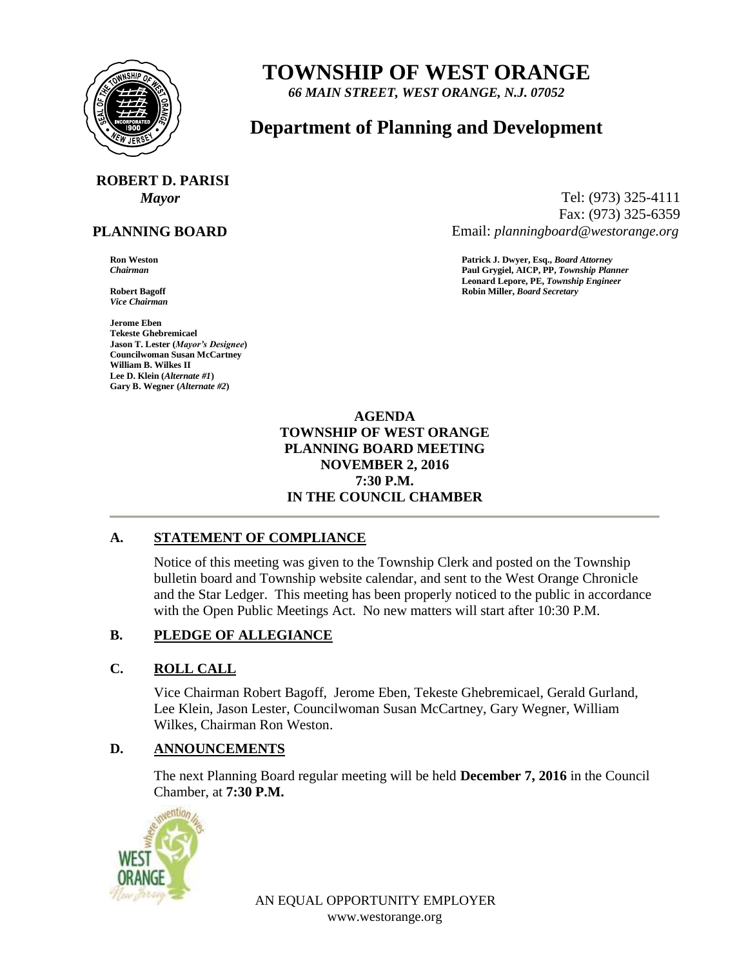

## **TOWNSHIP OF WEST ORANGE**

*66 MAIN STREET, WEST ORANGE, N.J. 07052*

### **Department of Planning and Development**

# **ROBERT D. PARISI**

#### **PLANNING BOARD**

*Vice Chairman*

**Jerome Eben Tekeste Ghebremicael Jason T. Lester (***Mayor's Designee***) Councilwoman Susan McCartney William B. Wilkes II Lee D. Klein (***Alternate #1***) Gary B. Wegner (***Alternate #2***)**

*Mayor* Tel: (973) 325-4111 Fax: (973) 325-6359 Email: *planningboard@westorange.org*

**Ron Weston Patrick J. Dwyer, Esq.,** *Board Attorney Chairman* **Paul Grygiel, AICP, PP,** *Township Planner* **Leonard Lepore, PE,** *Township Engineer* **Robert Bagoff Robin Miller,** *Board Secretary*

#### **AGENDA TOWNSHIP OF WEST ORANGE PLANNING BOARD MEETING NOVEMBER 2, 2016 7:30 P.M. IN THE COUNCIL CHAMBER**

#### **A. STATEMENT OF COMPLIANCE**

Notice of this meeting was given to the Township Clerk and posted on the Township bulletin board and Township website calendar, and sent to the West Orange Chronicle and the Star Ledger. This meeting has been properly noticed to the public in accordance with the Open Public Meetings Act. No new matters will start after 10:30 P.M.

#### **B. PLEDGE OF ALLEGIANCE**

#### **C. ROLL CALL**

Vice Chairman Robert Bagoff, Jerome Eben, Tekeste Ghebremicael, Gerald Gurland, Lee Klein, Jason Lester, Councilwoman Susan McCartney, Gary Wegner, William Wilkes, Chairman Ron Weston.

#### **D. ANNOUNCEMENTS**

The next Planning Board regular meeting will be held **December 7, 2016** in the Council Chamber, at **7:30 P.M.**



AN EQUAL OPPORTUNITY EMPLOYER www.westorange.org